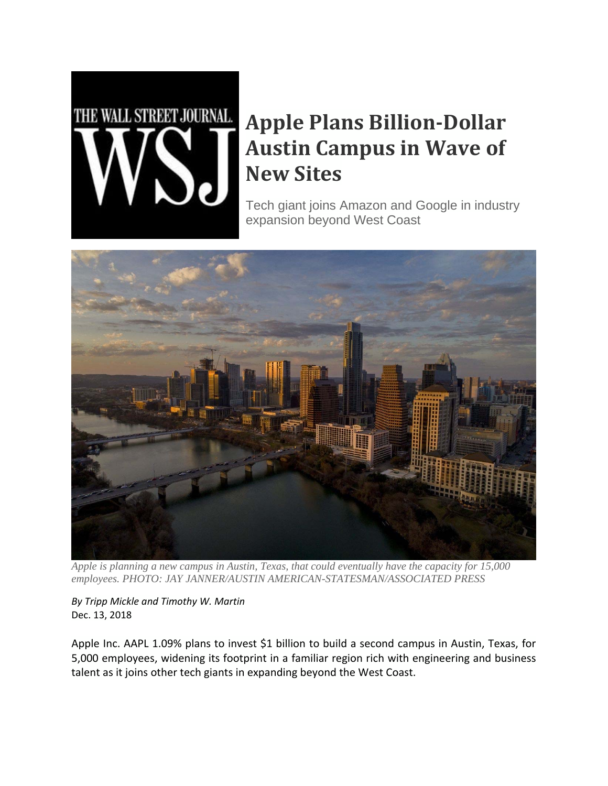

## **Apple Plans Billion‐Dollar Austin Campus in Wave of New Sites**

Tech giant joins Amazon and Google in industry expansion beyond West Coast



*Apple is planning a new campus in Austin, Texas, that could eventually have the capacity for 15,000 employees. PHOTO: JAY JANNER/AUSTIN AMERICAN-STATESMAN/ASSOCIATED PRESS*

*By Tripp Mickle and Timothy W. Martin* Dec. 13, 2018

Apple Inc. AAPL 1.09% plans to invest \$1 billion to build a second campus in Austin, Texas, for 5,000 employees, widening its footprint in a familiar region rich with engineering and business talent as it joins other tech giants in expanding beyond the West Coast.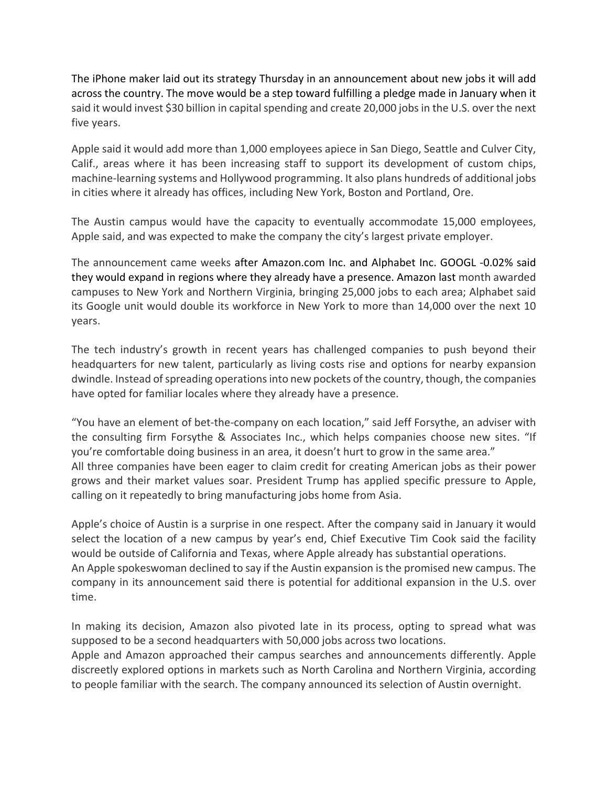The iPhone maker laid out its strategy Thursday in an announcement about new jobs it will add across the country. The move would be a step toward fulfilling a pledge made in January when it said it would invest \$30 billion in capital spending and create 20,000 jobs in the U.S. over the next five years.

Apple said it would add more than 1,000 employees apiece in San Diego, Seattle and Culver City, Calif., areas where it has been increasing staff to support its development of custom chips, machine-learning systems and Hollywood programming. It also plans hundreds of additional jobs in cities where it already has offices, including New York, Boston and Portland, Ore.

The Austin campus would have the capacity to eventually accommodate 15,000 employees, Apple said, and was expected to make the company the city's largest private employer.

The announcement came weeks after Amazon.com Inc. and Alphabet Inc. GOOGL ‐0.02% said they would expand in regions where they already have a presence. Amazon last month awarded campuses to New York and Northern Virginia, bringing 25,000 jobs to each area; Alphabet said its Google unit would double its workforce in New York to more than 14,000 over the next 10 years.

The tech industry's growth in recent years has challenged companies to push beyond their headquarters for new talent, particularly as living costs rise and options for nearby expansion dwindle. Instead of spreading operations into new pockets of the country, though, the companies have opted for familiar locales where they already have a presence.

"You have an element of bet‐the‐company on each location," said Jeff Forsythe, an adviser with the consulting firm Forsythe & Associates Inc., which helps companies choose new sites. "If you're comfortable doing business in an area, it doesn't hurt to grow in the same area." All three companies have been eager to claim credit for creating American jobs as their power grows and their market values soar. President Trump has applied specific pressure to Apple, calling on it repeatedly to bring manufacturing jobs home from Asia.

Apple's choice of Austin is a surprise in one respect. After the company said in January it would select the location of a new campus by year's end, Chief Executive Tim Cook said the facility would be outside of California and Texas, where Apple already has substantial operations. An Apple spokeswoman declined to say if the Austin expansion is the promised new campus. The company in its announcement said there is potential for additional expansion in the U.S. over time.

In making its decision, Amazon also pivoted late in its process, opting to spread what was supposed to be a second headquarters with 50,000 jobs across two locations.

Apple and Amazon approached their campus searches and announcements differently. Apple discreetly explored options in markets such as North Carolina and Northern Virginia, according to people familiar with the search. The company announced its selection of Austin overnight.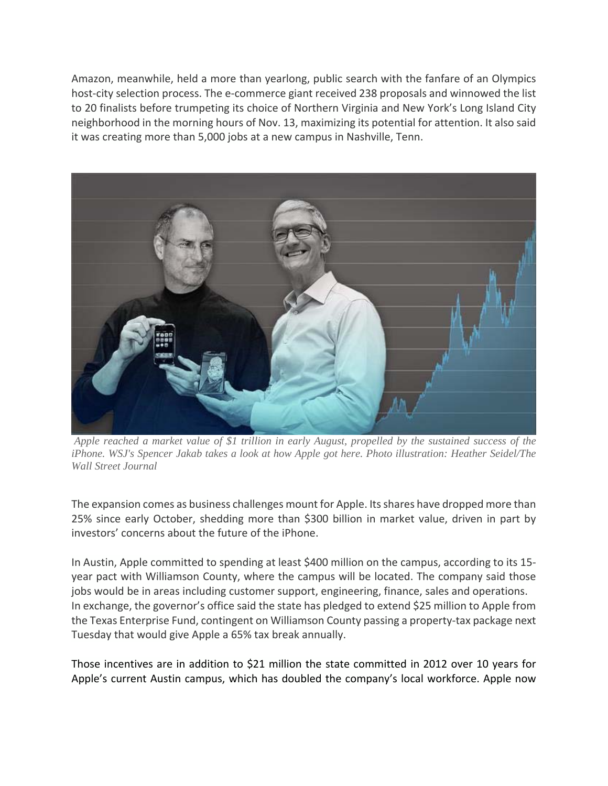Amazon, meanwhile, held a more than yearlong, public search with the fanfare of an Olympics host-city selection process. The e-commerce giant received 238 proposals and winnowed the list to 20 finalists before trumpeting its choice of Northern Virginia and New York's Long Island City neighborhood in the morning hours of Nov. 13, maximizing its potential for attention. It also said it was creating more than 5,000 jobs at a new campus in Nashville, Tenn.



 *Apple reached a market value of \$1 trillion in early August, propelled by the sustained success of the iPhone. WSJ's Spencer Jakab takes a look at how Apple got here. Photo illustration: Heather Seidel/The Wall Street Journal*

The expansion comes as business challenges mount for Apple. Itsshares have dropped more than 25% since early October, shedding more than \$300 billion in market value, driven in part by investors' concerns about the future of the iPhone.

In Austin, Apple committed to spending at least \$400 million on the campus, according to its 15‐ year pact with Williamson County, where the campus will be located. The company said those jobs would be in areas including customer support, engineering, finance, sales and operations. In exchange, the governor's office said the state has pledged to extend \$25 million to Apple from the Texas Enterprise Fund, contingent on Williamson County passing a property‐tax package next Tuesday that would give Apple a 65% tax break annually.

Those incentives are in addition to \$21 million the state committed in 2012 over 10 years for Apple's current Austin campus, which has doubled the company's local workforce. Apple now